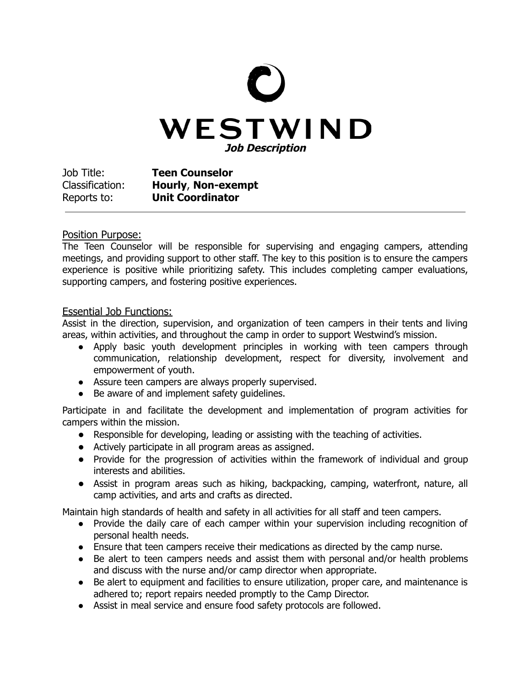## WESTWIND **Job Description**

Job Title: **Teen Counselor** Classification: **Hourly**, **Non-exempt** Reports to: **Unit Coordinator**

## Position Purpose:

The Teen Counselor will be responsible for supervising and engaging campers, attending meetings, and providing support to other staff. The key to this position is to ensure the campers experience is positive while prioritizing safety. This includes completing camper evaluations, supporting campers, and fostering positive experiences.

## Essential Job Functions:

Assist in the direction, supervision, and organization of teen campers in their tents and living areas, within activities, and throughout the camp in order to support Westwind's mission.

- Apply basic youth development principles in working with teen campers through communication, relationship development, respect for diversity, involvement and empowerment of youth.
- Assure teen campers are always properly supervised.
- Be aware of and implement safety quidelines.

Participate in and facilitate the development and implementation of program activities for campers within the mission.

- **●** Responsible for developing, leading or assisting with the teaching of activities.
- **●** Actively participate in all program areas as assigned.
- **●** Provide for the progression of activities within the framework of individual and group interests and abilities.
- **●** Assist in program areas such as hiking, backpacking, camping, waterfront, nature, all camp activities, and arts and crafts as directed.

Maintain high standards of health and safety in all activities for all staff and teen campers.

- Provide the daily care of each camper within your supervision including recognition of personal health needs.
- Ensure that teen campers receive their medications as directed by the camp nurse.
- Be alert to teen campers needs and assist them with personal and/or health problems and discuss with the nurse and/or camp director when appropriate.
- Be alert to equipment and facilities to ensure utilization, proper care, and maintenance is adhered to; report repairs needed promptly to the Camp Director.
- Assist in meal service and ensure food safety protocols are followed.